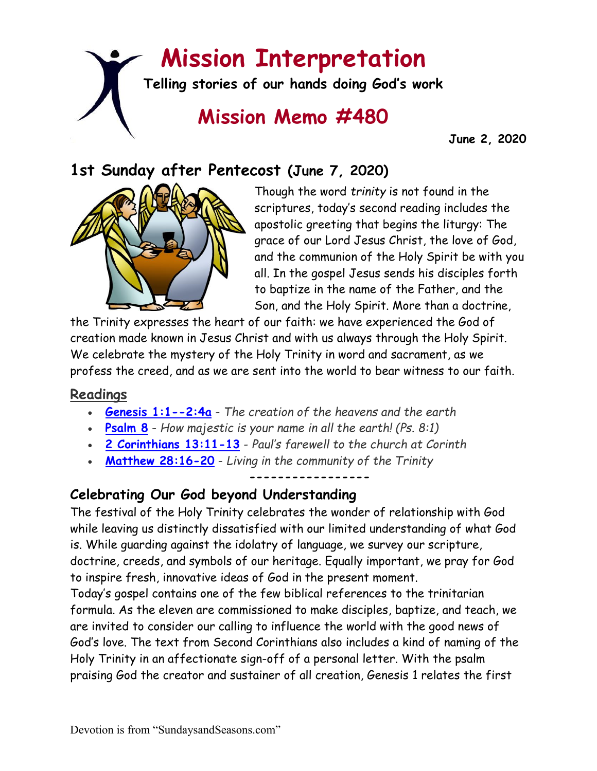# **Mission Interpretation**

**Telling stories of our hands doing God's work**

## **Mission Memo #480**

 **June 2, 2020**

### **1st Sunday after Pentecost (June 7, 2020)**



Though the word *trinity* is not found in the scriptures, today's second reading includes the apostolic greeting that begins the liturgy: The grace of our Lord Jesus Christ, the love of God, and the communion of the Holy Spirit be with you all. In the gospel Jesus sends his disciples forth to baptize in the name of the Father, and the Son, and the Holy Spirit. More than a doctrine,

the Trinity expresses the heart of our faith: we have experienced the God of creation made known in Jesus Christ and with us always through the Holy Spirit. We celebrate the mystery of the Holy Trinity in word and sacrament, as we profess the creed, and as we are sent into the world to bear witness to our faith.

#### **Readings**

- **[Genesis 1:1--2:4a](https://members.sundaysandseasons.com/)** *The creation of the heavens and the earth*
- **[Psalm 8](https://members.sundaysandseasons.com/)** *How majestic is your name in all the earth! (Ps. 8:1)*
- **[2 Corinthians 13:11-13](https://members.sundaysandseasons.com/)** *Paul's farewell to the church at Corinth*
- **[Matthew 28:16-20](https://members.sundaysandseasons.com/)** *Living in the community of the Trinity*

**-----------------**

#### **Celebrating Our God beyond Understanding**

The festival of the Holy Trinity celebrates the wonder of relationship with God while leaving us distinctly dissatisfied with our limited understanding of what God is. While guarding against the idolatry of language, we survey our scripture, doctrine, creeds, and symbols of our heritage. Equally important, we pray for God to inspire fresh, innovative ideas of God in the present moment.

Today's gospel contains one of the few biblical references to the trinitarian formula. As the eleven are commissioned to make disciples, baptize, and teach, we are invited to consider our calling to influence the world with the good news of God's love. The text from Second Corinthians also includes a kind of naming of the Holy Trinity in an affectionate sign-off of a personal letter. With the psalm praising God the creator and sustainer of all creation, Genesis 1 relates the first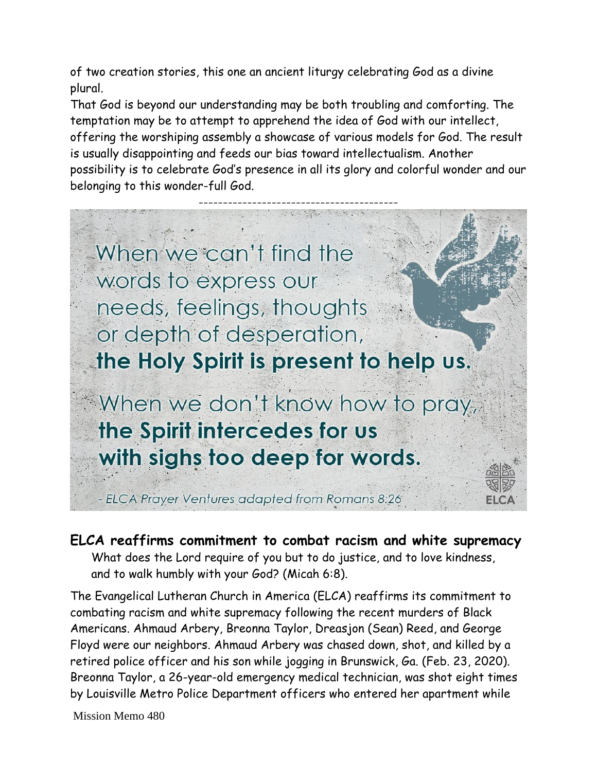of two creation stories, this one an ancient liturgy celebrating God as a divine plural.

That God is beyond our understanding may be both troubling and comforting. The temptation may be to attempt to apprehend the idea of God with our intellect, offering the worshiping assembly a showcase of various models for God. The result is usually disappointing and feeds our bias toward intellectualism. Another possibility is to celebrate God's presence in all its glory and colorful wonder and our belonging to this wonder-full God.



**ELCA reaffirms commitment to combat racism and white supremacy** What does the Lord require of you but to do justice, and to love kindness, and to walk humbly with your God? (Micah 6:8).

The Evangelical Lutheran Church in America (ELCA) reaffirms its commitment to combating racism and white supremacy following the recent murders of Black Americans. Ahmaud Arbery, Breonna Taylor, Dreasjon (Sean) Reed, and George Floyd were our neighbors. Ahmaud Arbery was chased down, shot, and killed by a retired police officer and his son while jogging in Brunswick, Ga. (Feb. 23, 2020). Breonna Taylor, a 26-year-old emergency medical technician, was shot eight times by Louisville Metro Police Department officers who entered her apartment while

Mission Memo 480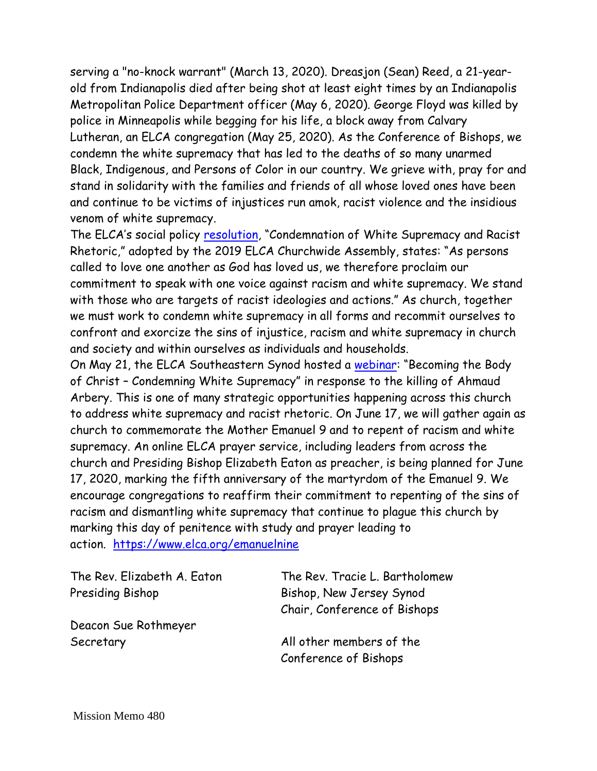serving a "no-knock warrant" (March 13, 2020). Dreasjon (Sean) Reed, a 21-yearold from Indianapolis died after being shot at least eight times by an Indianapolis Metropolitan Police Department officer (May 6, 2020). George Floyd was killed by police in Minneapolis while begging for his life, a block away from Calvary Lutheran, an ELCA congregation (May 25, 2020). As the Conference of Bishops, we condemn the white supremacy that has led to the deaths of so many unarmed Black, Indigenous, and Persons of Color in our country. We grieve with, pray for and stand in solidarity with the families and friends of all whose loved ones have been and continue to be victims of injustices run amok, racist violence and the insidious venom of white supremacy.

The ELCA's social policy [resolution](https://download.elca.org/ELCA%20Resource%20Repository/Condemnation_of_White_Supremacy_and_Racist_Rhetoric.pdf?_ga=2.203569043.221586474.1590507628-706161550.1552512868), "Condemnation of White Supremacy and Racist Rhetoric," adopted by the 2019 ELCA Churchwide Assembly, states: "As persons called to love one another as God has loved us, we therefore proclaim our commitment to speak with one voice against racism and white supremacy. We stand with those who are targets of racist ideologies and actions." As church, together we must work to condemn white supremacy in all forms and recommit ourselves to confront and exorcize the sins of injustice, racism and white supremacy in church and society and within ourselves as individuals and households.

On May 21, the ELCA Southeastern Synod hosted a [webinar](https://www.youtube.com/watch?v=LAatEgzrSnA): "Becoming the Body of Christ – Condemning White Supremacy" in response to the killing of Ahmaud Arbery. This is one of many strategic opportunities happening across this church to address white supremacy and racist rhetoric. On June 17, we will gather again as church to commemorate the Mother Emanuel 9 and to repent of racism and white supremacy. An online ELCA prayer service, including leaders from across the church and Presiding Bishop Elizabeth Eaton as preacher, is being planned for June 17, 2020, marking the fifth anniversary of the martyrdom of the Emanuel 9. We encourage congregations to reaffirm their commitment to repenting of the sins of racism and dismantling white supremacy that continue to plague this church by marking this day of penitence with study and prayer leading to action. <https://www.elca.org/emanuelnine>

Presiding Bishop Bishop, New Jersey Synod

Deacon Sue Rothmeyer

The Rev. Elizabeth A. Eaton The Rev. Tracie L. Bartholomew Chair, Conference of Bishops

Secretary **All other members of the** Conference of Bishops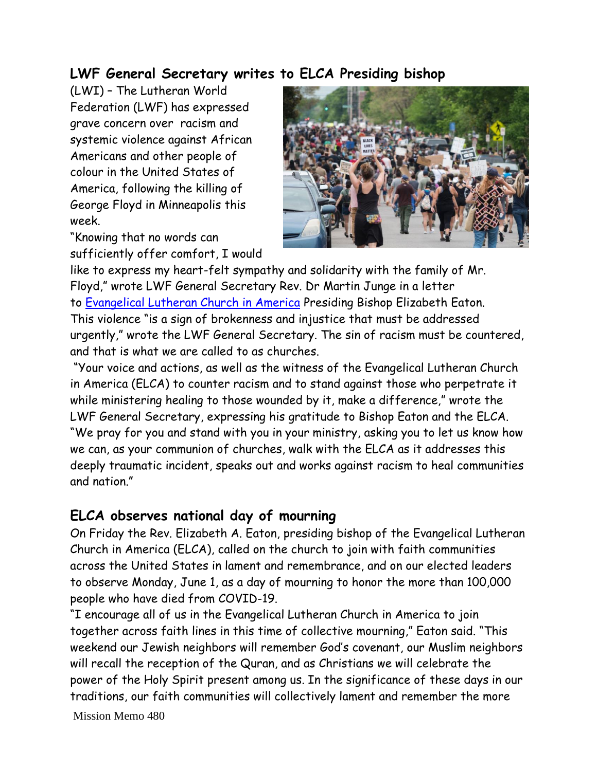#### **LWF General Secretary writes to ELCA Presiding bishop**

(LWI) – The Lutheran World Federation (LWF) has expressed grave concern over racism and systemic violence against African Americans and other people of colour in the United States of America, following the killing of George Floyd in Minneapolis this week.

"Knowing that no words can sufficiently offer comfort, I would



like to express my heart-felt sympathy and solidarity with the family of Mr. Floyd," wrote LWF General Secretary Rev. Dr Martin Junge in a letter to [Evangelical Lutheran Church in America](https://www.lutheranworld.org/country/united-states#evangelical-lutheran-church-america) Presiding Bishop Elizabeth Eaton. This violence "is a sign of brokenness and injustice that must be addressed urgently," wrote the LWF General Secretary. The sin of racism must be countered, and that is what we are called to as churches.

"Your voice and actions, as well as the witness of the Evangelical Lutheran Church in America (ELCA) to counter racism and to stand against those who perpetrate it while ministering healing to those wounded by it, make a difference," wrote the LWF General Secretary, expressing his gratitude to Bishop Eaton and the ELCA. "We pray for you and stand with you in your ministry, asking you to let us know how we can, as your communion of churches, walk with the ELCA as it addresses this deeply traumatic incident, speaks out and works against racism to heal communities and nation."

#### **ELCA observes national day of mourning**

On Friday the Rev. Elizabeth A. Eaton, presiding bishop of the Evangelical Lutheran Church in America (ELCA), called on the church to join with faith communities across the United States in lament and remembrance, and on our elected leaders to observe Monday, June 1, as a day of mourning to honor the more than 100,000 people who have died from COVID-19.

"I encourage all of us in the Evangelical Lutheran Church in America to join together across faith lines in this time of collective mourning," Eaton said. "This weekend our Jewish neighbors will remember God's covenant, our Muslim neighbors will recall the reception of the Quran, and as Christians we will celebrate the power of the Holy Spirit present among us. In the significance of these days in our traditions, our faith communities will collectively lament and remember the more

Mission Memo 480